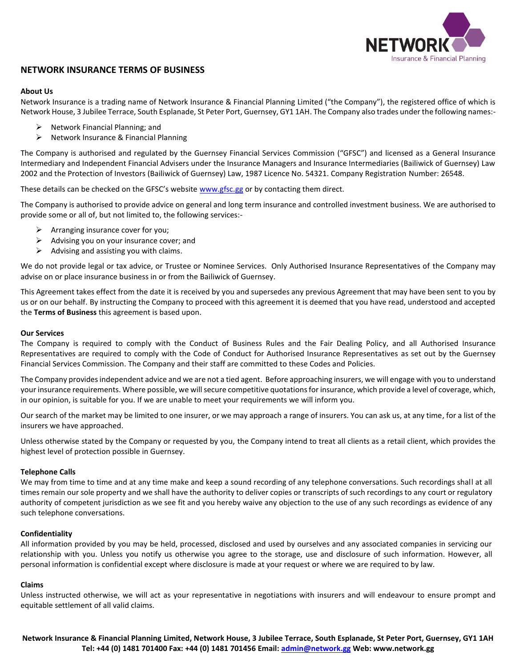

# **NETWORK INSURANCE TERMS OF BUSINESS**

## **About Us**

Network Insurance is a trading name of Network Insurance & Financial Planning Limited ("the Company"), the registered office of which is Network House, 3 Jubilee Terrace, South Esplanade, St Peter Port, Guernsey, GY1 1AH. The Company also trades under the following names:-

- $\triangleright$  Network Financial Planning; and
- $\triangleright$  Network Insurance & Financial Planning

The Company is authorised and regulated by the Guernsey Financial Services Commission ("GFSC") and licensed as a General Insurance Intermediary and Independent Financial Advisers under the Insurance Managers and Insurance Intermediaries (Bailiwick of Guernsey) Law 2002 and the Protection of Investors (Bailiwick of Guernsey) Law, 1987 Licence No. 54321. Company Registration Number: 26548.

These details can be checked on the GFSC's website [www.gfsc.gg](http://www.gfsc.gg/) or by contacting them direct.

The Company is authorised to provide advice on general and long term insurance and controlled investment business. We are authorised to provide some or all of, but not limited to, the following services:-

- $\triangleright$  Arranging insurance cover for you;
- $\triangleright$  Advising you on your insurance cover; and
- $\triangleright$  Advising and assisting you with claims.

We do not provide legal or tax advice, or Trustee or Nominee Services. Only Authorised Insurance Representatives of the Company may advise on or place insurance business in or from the Bailiwick of Guernsey.

This Agreement takes effect from the date it is received by you and supersedes any previous Agreement that may have been sent to you by us or on our behalf. By instructing the Company to proceed with this agreement it is deemed that you have read, understood and accepted the **Terms of Business** this agreement is based upon.

#### **Our Services**

The Company is required to comply with the Conduct of Business Rules and the Fair Dealing Policy, and all Authorised Insurance Representatives are required to comply with the Code of Conduct for Authorised Insurance Representatives as set out by the Guernsey Financial Services Commission. The Company and their staff are committed to these Codes and Policies.

The Company provides independent advice and we are not a tied agent. Before approaching insurers, we will engage with you to understand your insurance requirements. Where possible, we will secure competitive quotations for insurance, which provide a level of coverage, which, in our opinion, is suitable for you. If we are unable to meet your requirements we will inform you.

Our search of the market may be limited to one insurer, or we may approach a range of insurers. You can ask us, at any time, for a list of the insurers we have approached.

Unless otherwise stated by the Company or requested by you, the Company intend to treat all clients as a retail client, which provides the highest level of protection possible in Guernsey.

## **Telephone Calls**

We may from time to time and at any time make and keep a sound recording of any telephone conversations. Such recordings shall at all times remain our sole property and we shall have the authority to deliver copies or transcripts of such recordings to any court or regulatory authority of competent jurisdiction as we see fit and you hereby waive any objection to the use of any such recordings as evidence of any such telephone conversations.

## **Confidentiality**

All information provided by you may be held, processed, disclosed and used by ourselves and any associated companies in servicing our relationship with you. Unless you notify us otherwise you agree to the storage, use and disclosure of such information. However, all personal information is confidential except where disclosure is made at your request or where we are required to by law.

#### **Claims**

Unless instructed otherwise, we will act as your representative in negotiations with insurers and will endeavour to ensure prompt and equitable settlement of all valid claims.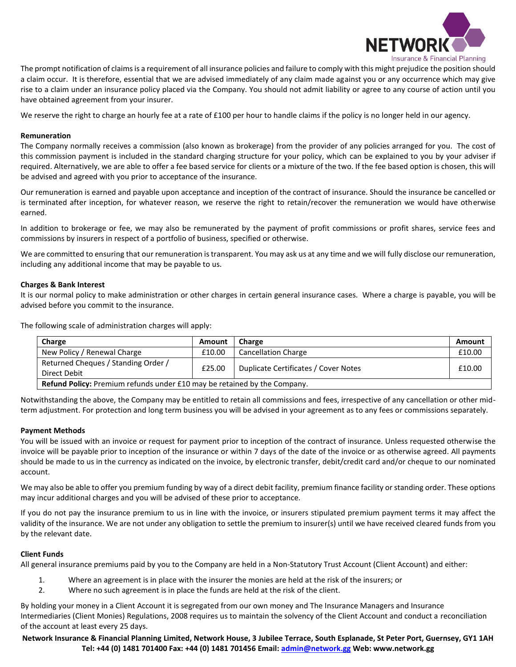

The prompt notification of claims is a requirement of all insurance policies and failure to comply with this might prejudice the position should a claim occur. It is therefore, essential that we are advised immediately of any claim made against you or any occurrence which may give rise to a claim under an insurance policy placed via the Company. You should not admit liability or agree to any course of action until you have obtained agreement from your insurer.

We reserve the right to charge an hourly fee at a rate of £100 per hour to handle claims if the policy is no longer held in our agency.

# **Remuneration**

The Company normally receives a commission (also known as brokerage) from the provider of any policies arranged for you. The cost of this commission payment is included in the standard charging structure for your policy, which can be explained to you by your adviser if required. Alternatively, we are able to offer a fee based service for clients or a mixture of the two. If the fee based option is chosen, this will be advised and agreed with you prior to acceptance of the insurance.

Our remuneration is earned and payable upon acceptance and inception of the contract of insurance. Should the insurance be cancelled or is terminated after inception, for whatever reason, we reserve the right to retain/recover the remuneration we would have otherwise earned.

In addition to brokerage or fee, we may also be remunerated by the payment of profit commissions or profit shares, service fees and commissions by insurers in respect of a portfolio of business, specified or otherwise.

We are committed to ensuring that our remuneration is transparent. You may ask us at any time and we will fully disclose our remuneration, including any additional income that may be payable to us.

# **Charges & Bank Interest**

It is our normal policy to make administration or other charges in certain general insurance cases. Where a charge is payable, you will be advised before you commit to the insurance.

The following scale of administration charges will apply:

| Charge                                                                   | Amount | Charge                               | Amount |  |
|--------------------------------------------------------------------------|--------|--------------------------------------|--------|--|
| New Policy / Renewal Charge                                              | £10.00 | <b>Cancellation Charge</b>           | £10.00 |  |
| Returned Cheques / Standing Order /<br>Direct Debit                      | £25.00 | Duplicate Certificates / Cover Notes | £10.00 |  |
| Refund Policy: Premium refunds under £10 may be retained by the Company. |        |                                      |        |  |

Notwithstanding the above, the Company may be entitled to retain all commissions and fees, irrespective of any cancellation or other midterm adjustment. For protection and long term business you will be advised in your agreement as to any fees or commissions separately.

## **Payment Methods**

You will be issued with an invoice or request for payment prior to inception of the contract of insurance. Unless requested otherwise the invoice will be payable prior to inception of the insurance or within 7 days of the date of the invoice or as otherwise agreed. All payments should be made to us in the currency as indicated on the invoice, by electronic transfer, debit/credit card and/or cheque to our nominated account.

We may also be able to offer you premium funding by way of a direct debit facility, premium finance facility or standing order. These options may incur additional charges and you will be advised of these prior to acceptance.

If you do not pay the insurance premium to us in line with the invoice, or insurers stipulated premium payment terms it may affect the validity of the insurance. We are not under any obligation to settle the premium to insurer(s) until we have received cleared funds from you by the relevant date.

## **Client Funds**

All general insurance premiums paid by you to the Company are held in a Non-Statutory Trust Account (Client Account) and either:

- 1. Where an agreement is in place with the insurer the monies are held at the risk of the insurers; or
- 2. Where no such agreement is in place the funds are held at the risk of the client.

By holding your money in a Client Account it is segregated from our own money and The Insurance Managers and Insurance Intermediaries (Client Monies) Regulations, 2008 requires us to maintain the solvency of the Client Account and conduct a reconciliation of the account at least every 25 days.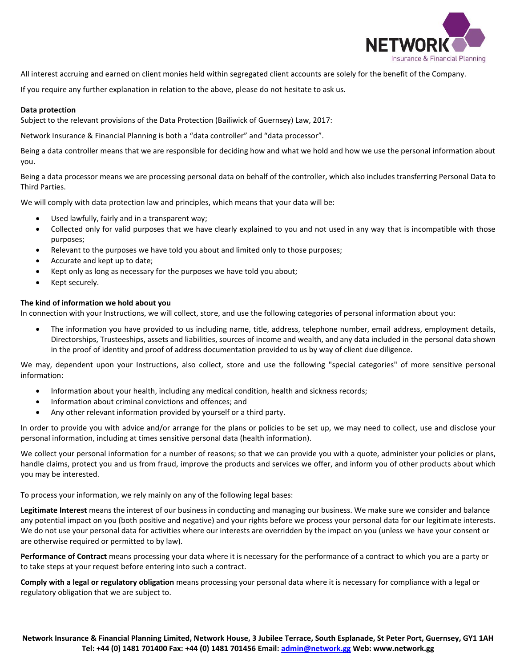

All interest accruing and earned on client monies held within segregated client accounts are solely for the benefit of the Company.

If you require any further explanation in relation to the above, please do not hesitate to ask us.

# **Data protection**

Subject to the relevant provisions of the Data Protection (Bailiwick of Guernsey) Law, 2017:

Network Insurance & Financial Planning is both a "data controller" and "data processor".

Being a data controller means that we are responsible for deciding how and what we hold and how we use the personal information about you.

Being a data processor means we are processing personal data on behalf of the controller, which also includes transferring Personal Data to Third Parties.

We will comply with data protection law and principles, which means that your data will be:

- Used lawfully, fairly and in a transparent way;
- Collected only for valid purposes that we have clearly explained to you and not used in any way that is incompatible with those purposes;
- Relevant to the purposes we have told you about and limited only to those purposes;
- Accurate and kept up to date;
- Kept only as long as necessary for the purposes we have told you about;
- Kept securely.

# **The kind of information we hold about you**

In connection with your Instructions, we will collect, store, and use the following categories of personal information about you:

 The information you have provided to us including name, title, address, telephone number, email address, employment details, Directorships, Trusteeships, assets and liabilities, sources of income and wealth, and any data included in the personal data shown in the proof of identity and proof of address documentation provided to us by way of client due diligence.

We may, dependent upon your Instructions, also collect, store and use the following "special categories" of more sensitive personal information:

- Information about your health, including any medical condition, health and sickness records;
- Information about criminal convictions and offences; and
- Any other relevant information provided by yourself or a third party.

In order to provide you with advice and/or arrange for the plans or policies to be set up, we may need to collect, use and disclose your personal information, including at times sensitive personal data (health information).

We collect your personal information for a number of reasons; so that we can provide you with a quote, administer your policies or plans, handle claims, protect you and us from fraud, improve the products and services we offer, and inform you of other products about which you may be interested.

To process your information, we rely mainly on any of the following legal bases:

**Legitimate Interest** means the interest of our business in conducting and managing our business. We make sure we consider and balance any potential impact on you (both positive and negative) and your rights before we process your personal data for our legitimate interests. We do not use your personal data for activities where our interests are overridden by the impact on you (unless we have your consent or are otherwise required or permitted to by law).

**Performance of Contract** means processing your data where it is necessary for the performance of a contract to which you are a party or to take steps at your request before entering into such a contract.

**Comply with a legal or regulatory obligation** means processing your personal data where it is necessary for compliance with a legal or regulatory obligation that we are subject to.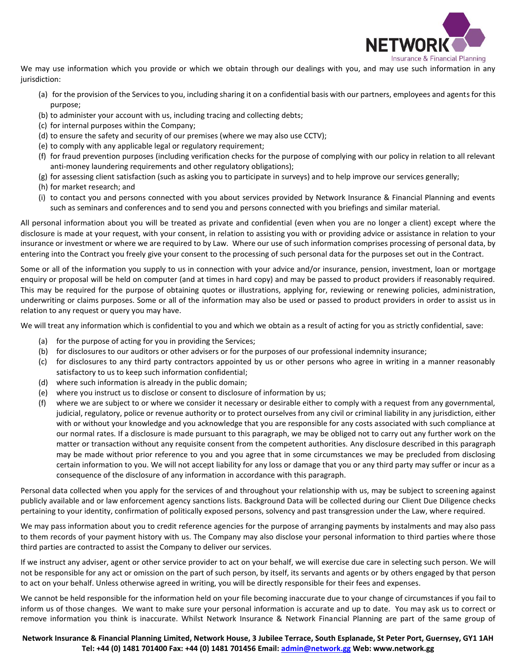

We may use information which you provide or which we obtain through our dealings with you, and may use such information in any jurisdiction:

- (a) for the provision of the Services to you, including sharing it on a confidential basis with our partners, employees and agents for this purpose;
- (b) to administer your account with us, including tracing and collecting debts;
- (c) for internal purposes within the Company;
- (d) to ensure the safety and security of our premises (where we may also use CCTV);
- (e) to comply with any applicable legal or regulatory requirement;
- (f) for fraud prevention purposes (including verification checks for the purpose of complying with our policy in relation to all relevant anti-money laundering requirements and other regulatory obligations);
- (g) for assessing client satisfaction (such as asking you to participate in surveys) and to help improve our services generally;
- (h) for market research; and
- (i) to contact you and persons connected with you about services provided by Network Insurance & Financial Planning and events such as seminars and conferences and to send you and persons connected with you briefings and similar material.

All personal information about you will be treated as private and confidential (even when you are no longer a client) except where the disclosure is made at your request, with your consent, in relation to assisting you with or providing advice or assistance in relation to your insurance or investment or where we are required to by Law. Where our use of such information comprises processing of personal data, by entering into the Contract you freely give your consent to the processing of such personal data for the purposes set out in the Contract.

Some or all of the information you supply to us in connection with your advice and/or insurance, pension, investment, loan or mortgage enquiry or proposal will be held on computer (and at times in hard copy) and may be passed to product providers if reasonably required. This may be required for the purpose of obtaining quotes or illustrations, applying for, reviewing or renewing policies, administration, underwriting or claims purposes. Some or all of the information may also be used or passed to product providers in order to assist us in relation to any request or query you may have.

We will treat any information which is confidential to you and which we obtain as a result of acting for you as strictly confidential, save:

- (a) for the purpose of acting for you in providing the Services;
- (b) for disclosures to our auditors or other advisers or for the purposes of our professional indemnity insurance;
- (c) for disclosures to any third party contractors appointed by us or other persons who agree in writing in a manner reasonably satisfactory to us to keep such information confidential;
- (d) where such information is already in the public domain;
- (e) where you instruct us to disclose or consent to disclosure of information by us;
- (f) where we are subject to or where we consider it necessary or desirable either to comply with a request from any governmental, judicial, regulatory, police or revenue authority or to protect ourselves from any civil or criminal liability in any jurisdiction, either with or without your knowledge and you acknowledge that you are responsible for any costs associated with such compliance at our normal rates. If a disclosure is made pursuant to this paragraph, we may be obliged not to carry out any further work on the matter or transaction without any requisite consent from the competent authorities. Any disclosure described in this paragraph may be made without prior reference to you and you agree that in some circumstances we may be precluded from disclosing certain information to you. We will not accept liability for any loss or damage that you or any third party may suffer or incur as a consequence of the disclosure of any information in accordance with this paragraph.

Personal data collected when you apply for the services of and throughout your relationship with us, may be subject to screening against publicly available and or law enforcement agency sanctions lists. Background Data will be collected during our Client Due Diligence checks pertaining to your identity, confirmation of politically exposed persons, solvency and past transgression under the Law, where required.

We may pass information about you to credit reference agencies for the purpose of arranging payments by instalments and may also pass to them records of your payment history with us. The Company may also disclose your personal information to third parties where those third parties are contracted to assist the Company to deliver our services.

If we instruct any adviser, agent or other service provider to act on your behalf, we will exercise due care in selecting such person. We will not be responsible for any act or omission on the part of such person, by itself, its servants and agents or by others engaged by that person to act on your behalf. Unless otherwise agreed in writing, you will be directly responsible for their fees and expenses.

We cannot be held responsible for the information held on your file becoming inaccurate due to your change of circumstances if you fail to inform us of those changes. We want to make sure your personal information is accurate and up to date. You may ask us to correct or remove information you think is inaccurate. Whilst Network Insurance & Network Financial Planning are part of the same group of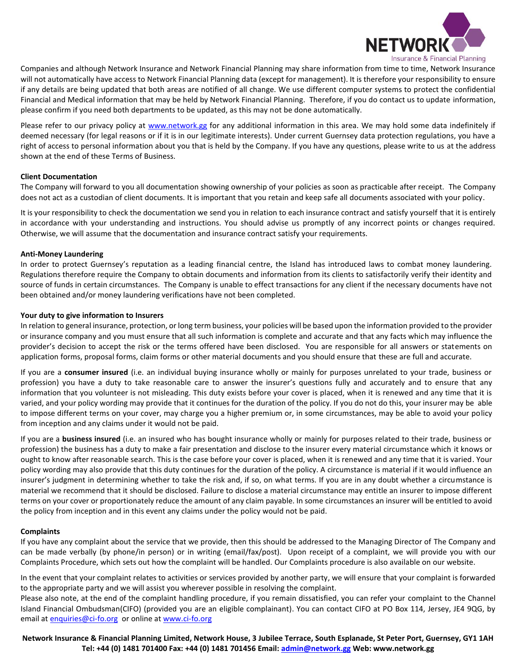

Companies and although Network Insurance and Network Financial Planning may share information from time to time, Network Insurance will not automatically have access to Network Financial Planning data (except for management). It is therefore your responsibility to ensure if any details are being updated that both areas are notified of all change. We use different computer systems to protect the confidential Financial and Medical information that may be held by Network Financial Planning. Therefore, if you do contact us to update information, please confirm if you need both departments to be updated, as this may not be done automatically.

Please refer to our privacy policy at [www.network.gg](http://www.network.gg/) for any additional information in this area. We may hold some data indefinitely if deemed necessary (for legal reasons or if it is in our legitimate interests). Under current Guernsey data protection regulations, you have a right of access to personal information about you that is held by the Company. If you have any questions, please write to us at the address shown at the end of these Terms of Business.

# **Client Documentation**

The Company will forward to you all documentation showing ownership of your policies as soon as practicable after receipt. The Company does not act as a custodian of client documents. It is important that you retain and keep safe all documents associated with your policy.

It is your responsibility to check the documentation we send you in relation to each insurance contract and satisfy yourself that it is entirely in accordance with your understanding and instructions. You should advise us promptly of any incorrect points or changes required. Otherwise, we will assume that the documentation and insurance contract satisfy your requirements.

## **Anti-Money Laundering**

In order to protect Guernsey's reputation as a leading financial centre, the Island has introduced laws to combat money laundering. Regulations therefore require the Company to obtain documents and information from its clients to satisfactorily verify their identity and source of funds in certain circumstances. The Company is unable to effect transactions for any client if the necessary documents have not been obtained and/or money laundering verifications have not been completed.

# **Your duty to give information to Insurers**

In relation to general insurance, protection, or long term business, your policies will be based upon the information provided to the provider or insurance company and you must ensure that all such information is complete and accurate and that any facts which may influence the provider's decision to accept the risk or the terms offered have been disclosed. You are responsible for all answers or statements on application forms, proposal forms, claim forms or other material documents and you should ensure that these are full and accurate.

If you are a **consumer insured** (i.e. an individual buying insurance wholly or mainly for purposes unrelated to your trade, business or profession) you have a duty to take reasonable care to answer the insurer's questions fully and accurately and to ensure that any information that you volunteer is not misleading. This duty exists before your cover is placed, when it is renewed and any time that it is varied, and your policy wording may provide that it continues for the duration of the policy. If you do not do this, your insurer may be able to impose different terms on your cover, may charge you a higher premium or, in some circumstances, may be able to avoid your policy from inception and any claims under it would not be paid.

If you are a **business insured** (i.e. an insured who has bought insurance wholly or mainly for purposes related to their trade, business or profession) the business has a duty to make a fair presentation and disclose to the insurer every material circumstance which it knows or ought to know after reasonable search. This is the case before your cover is placed, when it is renewed and any time that it is varied. Your policy wording may also provide that this duty continues for the duration of the policy. A circumstance is material if it would influence an insurer's judgment in determining whether to take the risk and, if so, on what terms. If you are in any doubt whether a circumstance is material we recommend that it should be disclosed. Failure to disclose a material circumstance may entitle an insurer to impose different terms on your cover or proportionately reduce the amount of any claim payable. In some circumstances an insurer will be entitled to avoid the policy from inception and in this event any claims under the policy would not be paid.

## **Complaints**

If you have any complaint about the service that we provide, then this should be addressed to the Managing Director of The Company and can be made verbally (by phone/in person) or in writing (email/fax/post). Upon receipt of a complaint, we will provide you with our Complaints Procedure, which sets out how the complaint will be handled. Our Complaints procedure is also available on our website.

In the event that your complaint relates to activities or services provided by another party, we will ensure that your complaint is forwarded to the appropriate party and we will assist you wherever possible in resolving the complaint.

Please also note, at the end of the complaint handling procedure, if you remain dissatisfied, you can refer your complaint to the Channel Island Financial Ombudsman(CIFO) (provided you are an eligible complainant). You can contact CIFO at PO Box 114, Jersey, JE4 9QG, by email at [enquiries@ci-fo.org](mailto:enquiries@ci-fo.org) or online a[t www.ci-fo.org](http://www.ci-fo.org/)